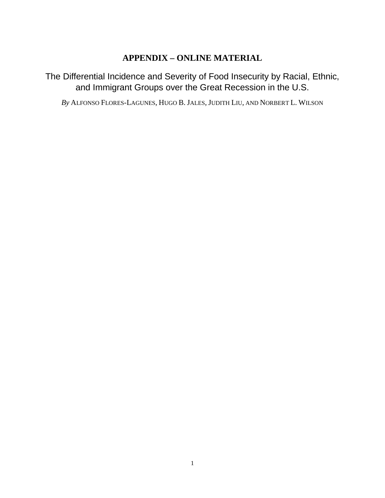## **APPENDIX – ONLINE MATERIAL**

The Differential Incidence and Severity of Food Insecurity by Racial, Ethnic, and Immigrant Groups over the Great Recession in the U.S.

*By* ALFONSO FLORES-LAGUNES, HUGO B. JALES, JUDITH LIU, AND NORBERT L. WILSON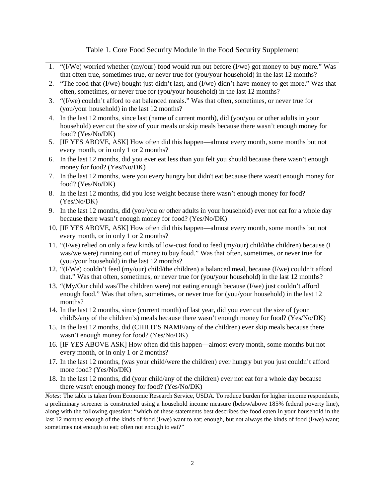## Table 1. Core Food Security Module in the Food Security Supplement

- 1. "(I/We) worried whether (my/our) food would run out before (I/we) got money to buy more." Was that often true, sometimes true, or never true for (you/your household) in the last 12 months?
- 2. "The food that (I/we) bought just didn't last, and (I/we) didn't have money to get more." Was that often, sometimes, or never true for (you/your household) in the last 12 months?
- 3. "(I/we) couldn't afford to eat balanced meals." Was that often, sometimes, or never true for (you/your household) in the last 12 months?
- 4. In the last 12 months, since last (name of current month), did (you/you or other adults in your household) ever cut the size of your meals or skip meals because there wasn't enough money for food? (Yes/No/DK)
- 5. [IF YES ABOVE, ASK] How often did this happen—almost every month, some months but not every month, or in only 1 or 2 months?
- 6. In the last 12 months, did you ever eat less than you felt you should because there wasn't enough money for food? (Yes/No/DK)
- 7. In the last 12 months, were you every hungry but didn't eat because there wasn't enough money for food? (Yes/No/DK)
- 8. In the last 12 months, did you lose weight because there wasn't enough money for food? (Yes/No/DK)
- 9. In the last 12 months, did (you/you or other adults in your household) ever not eat for a whole day because there wasn't enough money for food? (Yes/No/DK)
- 10. [IF YES ABOVE, ASK] How often did this happen—almost every month, some months but not every month, or in only 1 or 2 months?
- 11. "(I/we) relied on only a few kinds of low-cost food to feed (my/our) child/the children) because (I was/we were) running out of money to buy food." Was that often, sometimes, or never true for (you/your household) in the last 12 months?
- 12. "(I/We) couldn't feed (my/our) child/the children) a balanced meal, because (I/we) couldn't afford that." Was that often, sometimes, or never true for (you/your household) in the last 12 months?
- 13. "(My/Our child was/The children were) not eating enough because (I/we) just couldn't afford enough food." Was that often, sometimes, or never true for (you/your household) in the last 12 months?
- 14. In the last 12 months, since (current month) of last year, did you ever cut the size of (your child's/any of the children's) meals because there wasn't enough money for food? (Yes/No/DK)
- 15. In the last 12 months, did (CHILD'S NAME/any of the children) ever skip meals because there wasn't enough money for food? (Yes/No/DK)
- 16. [IF YES ABOVE ASK] How often did this happen—almost every month, some months but not every month, or in only 1 or 2 months?
- 17. In the last 12 months, (was your child/were the children) ever hungry but you just couldn't afford more food? (Yes/No/DK)
- 18. In the last 12 months, did (your child/any of the children) ever not eat for a whole day because there wasn't enough money for food? (Yes/No/DK)

*Notes:* The table is taken from Economic Research Service, USDA. To reduce burden for higher income respondents, a preliminary screener is constructed using a household income measure (below/above 185% federal poverty line), along with the following question: "which of these statements best describes the food eaten in your household in the last 12 months: enough of the kinds of food (I/we) want to eat; enough, but not always the kinds of food (I/we) want; sometimes not enough to eat; often not enough to eat?"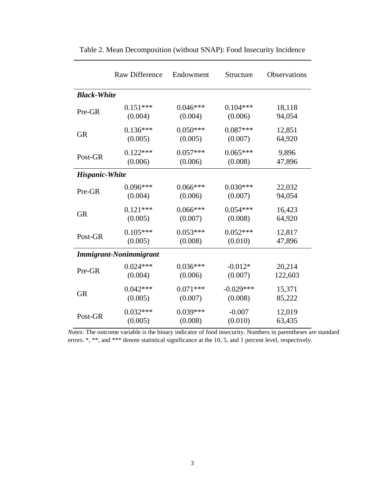|                               | <b>Raw Difference</b> | Endowment  | Structure   | <b>Observations</b> |  |
|-------------------------------|-----------------------|------------|-------------|---------------------|--|
| <b>Black-White</b>            |                       |            |             |                     |  |
| Pre-GR                        | $0.151***$            | $0.046***$ | $0.104***$  | 18,118              |  |
|                               | (0.004)               | (0.004)    | (0.006)     | 94,054              |  |
| <b>GR</b>                     | $0.136***$            | $0.050***$ | $0.087***$  | 12,851              |  |
|                               | (0.005)               | (0.005)    | (0.007)     | 64,920              |  |
| Post-GR                       | $0.122***$            | $0.057***$ | $0.065***$  | 9,896               |  |
|                               | (0.006)               | (0.006)    | (0.008)     | 47,896              |  |
| <b>Hispanic-White</b>         |                       |            |             |                     |  |
| Pre-GR                        | $0.096***$            | $0.066***$ | $0.030***$  | 22,032              |  |
|                               | (0.004)               | (0.006)    | (0.007)     | 94,054              |  |
| <b>GR</b>                     | $0.121***$            | $0.066***$ | $0.054***$  | 16,423              |  |
|                               | (0.005)               | (0.007)    | (0.008)     | 64,920              |  |
| Post-GR                       | $0.105***$            | $0.053***$ | $0.052***$  | 12,817              |  |
|                               | (0.005)               | (0.008)    | (0.010)     | 47,896              |  |
| <b>Immigrant-Nonimmigrant</b> |                       |            |             |                     |  |
| Pre-GR                        | $0.024***$            | $0.036***$ | $-0.012*$   | 20,214              |  |
|                               | (0.004)               | (0.006)    | (0.007)     | 122,603             |  |
| <b>GR</b>                     | $0.042***$            | $0.071***$ | $-0.029***$ | 15,371              |  |
|                               | (0.005)               | (0.007)    | (0.008)     | 85,222              |  |
| Post-GR                       | $0.032***$            | $0.039***$ | $-0.007$    | 12,019              |  |
|                               | (0.005)               | (0.008)    | (0.010)     | 63,435              |  |

Table 2. Mean Decomposition (without SNAP): Food Insecurity Incidence

*Notes:* The outcome variable is the binary indicator of food insecurity. Numbers in parentheses are standard errors. \*, \*\*, and \*\*\* denote statistical significance at the 10, 5, and 1 percent level, respectively.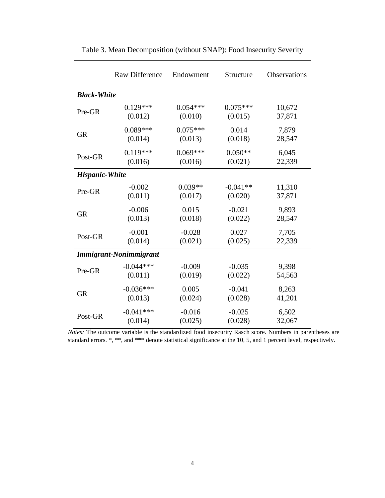|                        | <b>Raw Difference</b> | Endowment  | Structure  | Observations |  |
|------------------------|-----------------------|------------|------------|--------------|--|
| <b>Black-White</b>     |                       |            |            |              |  |
| Pre-GR                 | $0.129***$            | $0.054***$ | $0.075***$ | 10,672       |  |
|                        | (0.012)               | (0.010)    | (0.015)    | 37,871       |  |
| <b>GR</b>              | $0.089***$            | $0.075***$ | 0.014      | 7,879        |  |
|                        | (0.014)               | (0.013)    | (0.018)    | 28,547       |  |
| Post-GR                | $0.119***$            | $0.069***$ | $0.050**$  | 6,045        |  |
|                        | (0.016)               | (0.016)    | (0.021)    | 22,339       |  |
| <b>Hispanic-White</b>  |                       |            |            |              |  |
| Pre-GR                 | $-0.002$              | $0.039**$  | $-0.041**$ | 11,310       |  |
|                        | (0.011)               | (0.017)    | (0.020)    | 37,871       |  |
| <b>GR</b>              | $-0.006$              | 0.015      | $-0.021$   | 9,893        |  |
|                        | (0.013)               | (0.018)    | (0.022)    | 28,547       |  |
| Post-GR                | $-0.001$              | $-0.028$   | 0.027      | 7,705        |  |
|                        | (0.014)               | (0.021)    | (0.025)    | 22,339       |  |
| Immigrant-Nonimmigrant |                       |            |            |              |  |
| Pre-GR                 | $-0.044***$           | $-0.009$   | $-0.035$   | 9,398        |  |
|                        | (0.011)               | (0.019)    | (0.022)    | 54,563       |  |
| <b>GR</b>              | $-0.036***$           | 0.005      | $-0.041$   | 8,263        |  |
|                        | (0.013)               | (0.024)    | (0.028)    | 41,201       |  |
| Post-GR                | $-0.041***$           | $-0.016$   | $-0.025$   | 6,502        |  |
|                        | (0.014)               | (0.025)    | (0.028)    | 32,067       |  |

| Table 3. Mean Decomposition (without SNAP): Food Insecurity Severity |  |
|----------------------------------------------------------------------|--|
|                                                                      |  |

*Notes:* The outcome variable is the standardized food insecurity Rasch score. Numbers in parentheses are standard errors. \*, \*\*, and \*\*\* denote statistical significance at the 10, 5, and 1 percent level, respectively.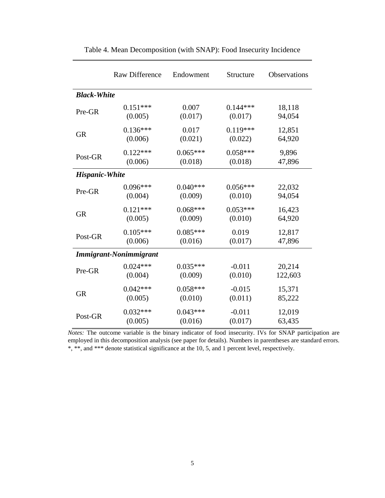|                               | <b>Raw Difference</b> | Endowment  | Structure  | Observations |  |
|-------------------------------|-----------------------|------------|------------|--------------|--|
| <b>Black-White</b>            |                       |            |            |              |  |
| Pre-GR                        | $0.151***$            | 0.007      | $0.144***$ | 18,118       |  |
|                               | (0.005)               | (0.017)    | (0.017)    | 94,054       |  |
| <b>GR</b>                     | $0.136***$            | 0.017      | $0.119***$ | 12,851       |  |
|                               | (0.006)               | (0.021)    | (0.022)    | 64,920       |  |
| Post-GR                       | $0.122***$            | $0.065***$ | $0.058***$ | 9,896        |  |
|                               | (0.006)               | (0.018)    | (0.018)    | 47,896       |  |
| <b>Hispanic-White</b>         |                       |            |            |              |  |
| Pre-GR                        | $0.096***$            | $0.040***$ | $0.056***$ | 22,032       |  |
|                               | (0.004)               | (0.009)    | (0.010)    | 94,054       |  |
| <b>GR</b>                     | $0.121***$            | $0.068***$ | $0.053***$ | 16,423       |  |
|                               | (0.005)               | (0.009)    | (0.010)    | 64,920       |  |
| Post-GR                       | $0.105***$            | $0.085***$ | 0.019      | 12,817       |  |
|                               | (0.006)               | (0.016)    | (0.017)    | 47,896       |  |
| <b>Immigrant-Nonimmigrant</b> |                       |            |            |              |  |
| Pre-GR                        | $0.024***$            | $0.035***$ | $-0.011$   | 20,214       |  |
|                               | (0.004)               | (0.009)    | (0.010)    | 122,603      |  |
| <b>GR</b>                     | $0.042***$            | $0.058***$ | $-0.015$   | 15,371       |  |
|                               | (0.005)               | (0.010)    | (0.011)    | 85,222       |  |
| Post-GR                       | $0.032***$            | $0.043***$ | $-0.011$   | 12,019       |  |
|                               | (0.005)               | (0.016)    | (0.017)    | 63,435       |  |

Table 4. Mean Decomposition (with SNAP): Food Insecurity Incidence

*Notes:* The outcome variable is the binary indicator of food insecurity. IVs for SNAP participation are employed in this decomposition analysis (see paper for details). Numbers in parentheses are standard errors. \*, \*\*, and \*\*\* denote statistical significance at the 10, 5, and 1 percent level, respectively.